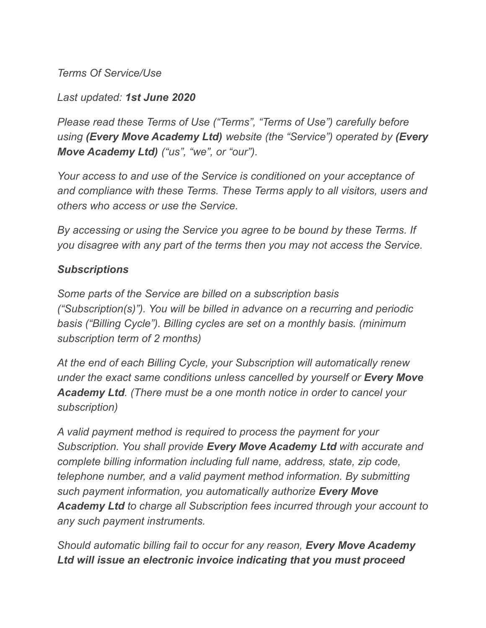*Terms Of Service/Use*

*Last updated: 1st June 2020*

*Please read these Terms of Use ("Terms", "Terms of Use") carefully before using (Every Move Academy Ltd) website (the "Service") operated by (Every Move Academy Ltd) ("us", "we", or "our").*

*Your access to and use of the Service is conditioned on your acceptance of and compliance with these Terms. These Terms apply to all visitors, users and others who access or use the Service.*

*By accessing or using the Service you agree to be bound by these Terms. If you disagree with any part of the terms then you may not access the Service.*

#### *Subscriptions*

*Some parts of the Service are billed on a subscription basis ("Subscription(s)"). You will be billed in advance on a recurring and periodic basis ("Billing Cycle"). Billing cycles are set on a monthly basis. (minimum subscription term of 2 months)*

*At the end of each Billing Cycle, your Subscription will automatically renew under the exact same conditions unless cancelled by yourself or Every Move Academy Ltd. (There must be a one month notice in order to cancel your subscription)*

*A valid payment method is required to process the payment for your Subscription. You shall provide Every Move Academy Ltd with accurate and complete billing information including full name, address, state, zip code, telephone number, and a valid payment method information. By submitting such payment information, you automatically authorize Every Move Academy Ltd to charge all Subscription fees incurred through your account to any such payment instruments.*

*Should automatic billing fail to occur for any reason, Every Move Academy Ltd will issue an electronic invoice indicating that you must proceed*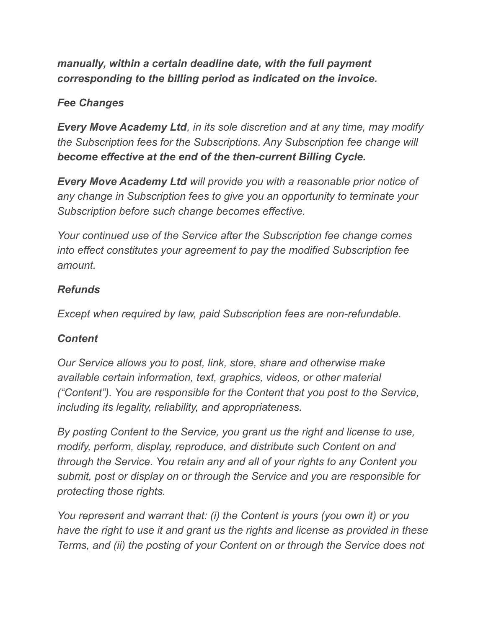## *manually, within a certain deadline date, with the full payment corresponding to the billing period as indicated on the invoice.*

## *Fee Changes*

*Every Move Academy Ltd, in its sole discretion and at any time, may modify the Subscription fees for the Subscriptions. Any Subscription fee change will become effective at the end of the then-current Billing Cycle.*

*Every Move Academy Ltd will provide you with a reasonable prior notice of any change in Subscription fees to give you an opportunity to terminate your Subscription before such change becomes effective.*

*Your continued use of the Service after the Subscription fee change comes into effect constitutes your agreement to pay the modified Subscription fee amount.*

## *Refunds*

*Except when required by law, paid Subscription fees are non-refundable.*

## *Content*

*Our Service allows you to post, link, store, share and otherwise make available certain information, text, graphics, videos, or other material ("Content"). You are responsible for the Content that you post to the Service, including its legality, reliability, and appropriateness.*

*By posting Content to the Service, you grant us the right and license to use, modify, perform, display, reproduce, and distribute such Content on and through the Service. You retain any and all of your rights to any Content you submit, post or display on or through the Service and you are responsible for protecting those rights.*

*You represent and warrant that: (i) the Content is yours (you own it) or you have the right to use it and grant us the rights and license as provided in these Terms, and (ii) the posting of your Content on or through the Service does not*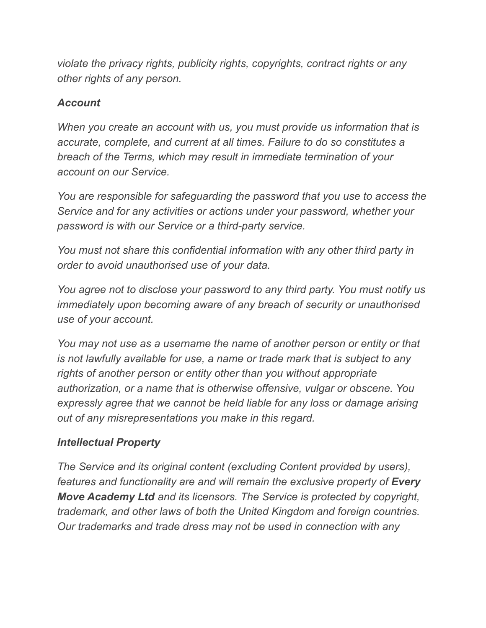*violate the privacy rights, publicity rights, copyrights, contract rights or any other rights of any person.*

### *Account*

*When you create an account with us, you must provide us information that is accurate, complete, and current at all times. Failure to do so constitutes a breach of the Terms, which may result in immediate termination of your account on our Service.*

*You are responsible for safeguarding the password that you use to access the Service and for any activities or actions under your password, whether your password is with our Service or a third-party service.*

*You must not share this confidential information with any other third party in order to avoid unauthorised use of your data.*

*You agree not to disclose your password to any third party. You must notify us immediately upon becoming aware of any breach of security or unauthorised use of your account.*

*You may not use as a username the name of another person or entity or that is not lawfully available for use, a name or trade mark that is subject to any rights of another person or entity other than you without appropriate authorization, or a name that is otherwise offensive, vulgar or obscene. You expressly agree that we cannot be held liable for any loss or damage arising out of any misrepresentations you make in this regard.*

## *Intellectual Property*

*The Service and its original content (excluding Content provided by users), features and functionality are and will remain the exclusive property of Every Move Academy Ltd and its licensors. The Service is protected by copyright, trademark, and other laws of both the United Kingdom and foreign countries. Our trademarks and trade dress may not be used in connection with any*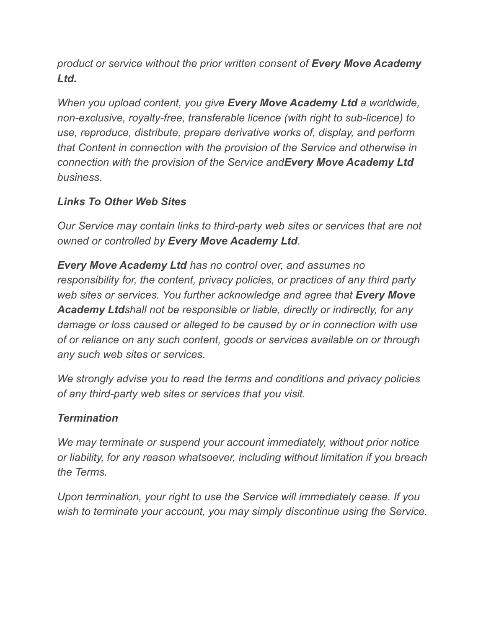*product or service without the prior written consent of Every Move Academy Ltd.*

*When you upload content, you give Every Move Academy Ltd a worldwide, non-exclusive, royalty-free, transferable licence (with right to sub-licence) to use, reproduce, distribute, prepare derivative works of, display, and perform that Content in connection with the provision of the Service and otherwise in connection with the provision of the Service andEvery Move Academy Ltd business.*

## *Links To Other Web Sites*

*Our Service may contain links to third-party web sites or services that are not owned or controlled by Every Move Academy Ltd.*

*Every Move Academy Ltd has no control over, and assumes no responsibility for, the content, privacy policies, or practices of any third party web sites or services. You further acknowledge and agree that Every Move Academy Ltdshall not be responsible or liable, directly or indirectly, for any damage or loss caused or alleged to be caused by or in connection with use of or reliance on any such content, goods or services available on or through any such web sites or services.*

*We strongly advise you to read the terms and conditions and privacy policies of any third-party web sites or services that you visit.*

## *Termination*

*We may terminate or suspend your account immediately, without prior notice or liability, for any reason whatsoever, including without limitation if you breach the Terms.*

*Upon termination, your right to use the Service will immediately cease. If you wish to terminate your account, you may simply discontinue using the Service.*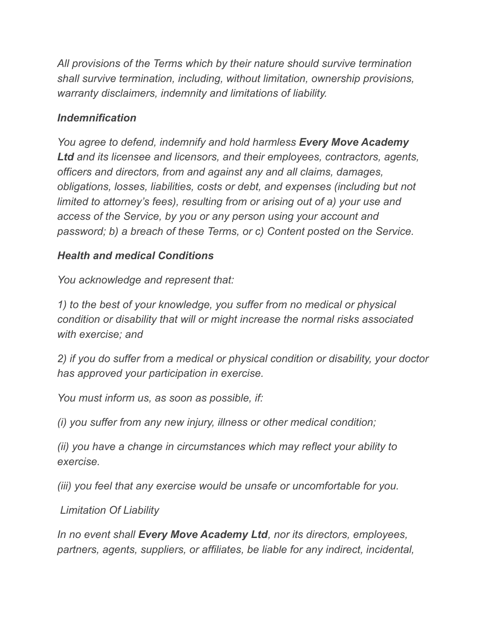*All provisions of the Terms which by their nature should survive termination shall survive termination, including, without limitation, ownership provisions, warranty disclaimers, indemnity and limitations of liability.*

#### *Indemnification*

*You agree to defend, indemnify and hold harmless Every Move Academy Ltd and its licensee and licensors, and their employees, contractors, agents, officers and directors, from and against any and all claims, damages, obligations, losses, liabilities, costs or debt, and expenses (including but not limited to attorney's fees), resulting from or arising out of a) your use and access of the Service, by you or any person using your account and password; b) a breach of these Terms, or c) Content posted on the Service.*

#### *Health and medical Conditions*

*You acknowledge and represent that:*

*1) to the best of your knowledge, you suffer from no medical or physical condition or disability that will or might increase the normal risks associated with exercise; and*

*2) if you do suffer from a medical or physical condition or disability, your doctor has approved your participation in exercise.*

*You must inform us, as soon as possible, if:*

*(i) you suffer from any new injury, illness or other medical condition;*

*(ii) you have a change in circumstances which may reflect your ability to exercise.*

*(iii) you feel that any exercise would be unsafe or uncomfortable for you.*

*Limitation Of Liability*

*In no event shall Every Move Academy Ltd, nor its directors, employees, partners, agents, suppliers, or affiliates, be liable for any indirect, incidental,*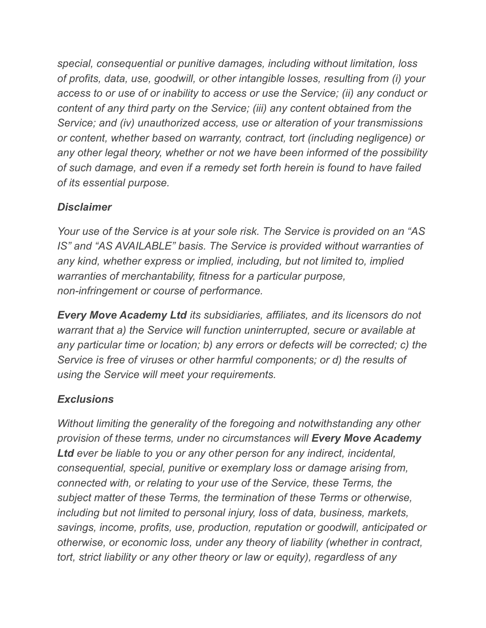*special, consequential or punitive damages, including without limitation, loss of profits, data, use, goodwill, or other intangible losses, resulting from (i) your access to or use of or inability to access or use the Service; (ii) any conduct or content of any third party on the Service; (iii) any content obtained from the Service; and (iv) unauthorized access, use or alteration of your transmissions or content, whether based on warranty, contract, tort (including negligence) or any other legal theory, whether or not we have been informed of the possibility of such damage, and even if a remedy set forth herein is found to have failed of its essential purpose.*

## *Disclaimer*

*Your use of the Service is at your sole risk. The Service is provided on an "AS IS" and "AS AVAILABLE" basis. The Service is provided without warranties of any kind, whether express or implied, including, but not limited to, implied warranties of merchantability, fitness for a particular purpose, non-infringement or course of performance.*

*Every Move Academy Ltd its subsidiaries, affiliates, and its licensors do not warrant that a) the Service will function uninterrupted, secure or available at any particular time or location; b) any errors or defects will be corrected; c) the Service is free of viruses or other harmful components; or d) the results of using the Service will meet your requirements.*

# *Exclusions*

*Without limiting the generality of the foregoing and notwithstanding any other provision of these terms, under no circumstances will Every Move Academy Ltd ever be liable to you or any other person for any indirect, incidental, consequential, special, punitive or exemplary loss or damage arising from, connected with, or relating to your use of the Service, these Terms, the subject matter of these Terms, the termination of these Terms or otherwise, including but not limited to personal injury, loss of data, business, markets, savings, income, profits, use, production, reputation or goodwill, anticipated or otherwise, or economic loss, under any theory of liability (whether in contract, tort, strict liability or any other theory or law or equity), regardless of any*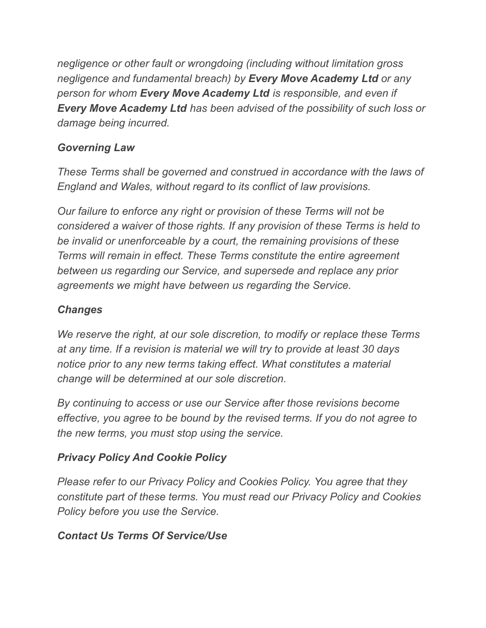*negligence or other fault or wrongdoing (including without limitation gross negligence and fundamental breach) by Every Move Academy Ltd or any person for whom Every Move Academy Ltd is responsible, and even if Every Move Academy Ltd has been advised of the possibility of such loss or damage being incurred.*

## *Governing Law*

*These Terms shall be governed and construed in accordance with the laws of England and Wales, without regard to its conflict of law provisions.*

*Our failure to enforce any right or provision of these Terms will not be considered a waiver of those rights. If any provision of these Terms is held to be invalid or unenforceable by a court, the remaining provisions of these Terms will remain in effect. These Terms constitute the entire agreement between us regarding our Service, and supersede and replace any prior agreements we might have between us regarding the Service.*

## *Changes*

*We reserve the right, at our sole discretion, to modify or replace these Terms at any time. If a revision is material we will try to provide at least 30 days notice prior to any new terms taking effect. What constitutes a material change will be determined at our sole discretion.*

*By continuing to access or use our Service after those revisions become effective, you agree to be bound by the revised terms. If you do not agree to the new terms, you must stop using the service.*

# *Privacy Policy And Cookie Policy*

*Please refer to our Privacy Policy and Cookies Policy. You agree that they constitute part of these terms. You must read our Privacy Policy and Cookies Policy before you use the Service.*

## *Contact Us Terms Of Service/Use*